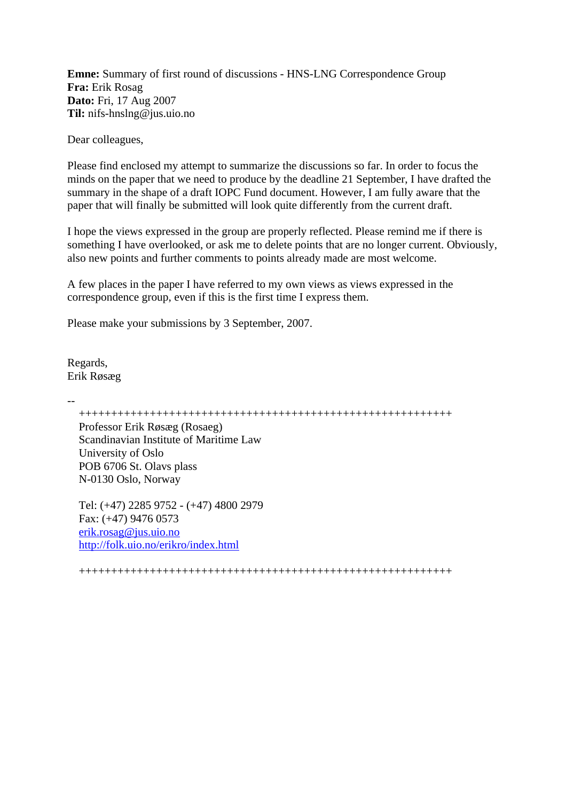**Emne:** Summary of first round of discussions - HNS-LNG Correspondence Group **Fra:** Erik Rosag **Dato:** Fri, 17 Aug 2007 **Til:** nifs-hnslng@jus.uio.no

Dear colleagues,

Please find enclosed my attempt to summarize the discussions so far. In order to focus the minds on the paper that we need to produce by the deadline 21 September, I have drafted the summary in the shape of a draft IOPC Fund document. However, I am fully aware that the paper that will finally be submitted will look quite differently from the current draft.

I hope the views expressed in the group are properly reflected. Please remind me if there is something I have overlooked, or ask me to delete points that are no longer current. Obviously, also new points and further comments to points already made are most welcome.

A few places in the paper I have referred to my own views as views expressed in the correspondence group, even if this is the first time I express them.

Please make your submissions by 3 September, 2007.

Regards, Erik Røsæg

--

++++++++++++++++++++++++++++++++++++++++++++++++++++++++++

Professor Erik Røsæg (Rosaeg) Scandinavian Institute of Maritime Law University of Oslo POB 6706 St. Olavs plass N-0130 Oslo, Norway

Tel: (+47) 2285 9752 - (+47) 4800 2979 Fax: (+47) 9476 0573 erik.rosag@jus.uio.no http://folk.uio.no/erikro/index.html

++++++++++++++++++++++++++++++++++++++++++++++++++++++++++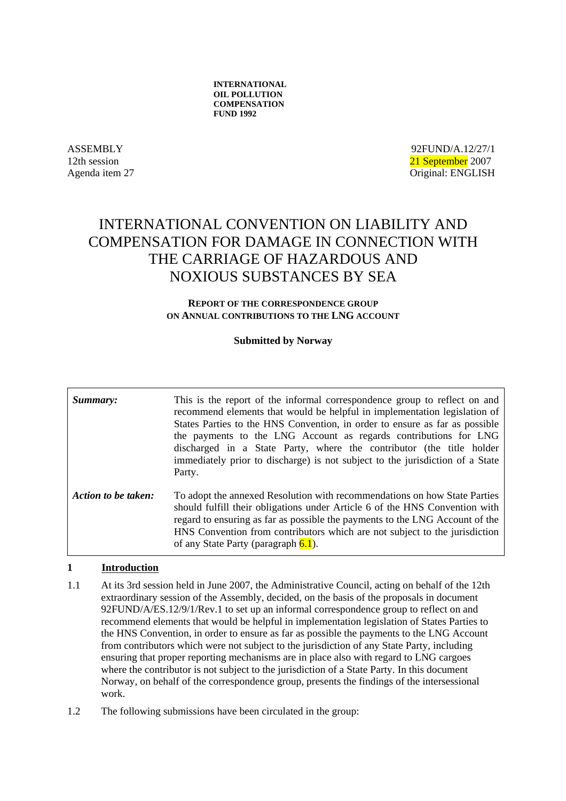ASSEMBLY 92FUND/A.12/27/1 12th session 21 September 2007 Agenda item 27 Original: ENGLISH

# INTERNATIONAL CONVENTION ON LIABILITY AND COMPENSATION FOR DAMAGE IN CONNECTION WITH THE CARRIAGE OF HAZARDOUS AND NOXIOUS SUBSTANCES BY SEA

#### **REPORT OF THE CORRESPONDENCE GROUP ON ANNUAL CONTRIBUTIONS TO THE LNG ACCOUNT**

## **Submitted by Norway**

**Summary:** This is the report of the informal correspondence group to reflect on and recommend elements that would be helpful in implementation legislation of States Parties to the HNS Convention, in order to ensure as far as possible the payments to the LNG Account as regards contributions for LNG discharged in a State Party, where the contributor (the title holder immediately prior to discharge) is not subject to the jurisdiction of a State Party. *Action to be taken:* To adopt the annexed Resolution with recommendations on how State Parties should fulfill their obligations under Article 6 of the HNS Convention with regard to ensuring as far as possible the payments to the LNG Account of the HNS Convention from contributors which are not subject to the jurisdiction of any State Party (paragraph 6.1).

#### **1 Introduction**

- 1.1 At its 3rd session held in June 2007, the Administrative Council, acting on behalf of the 12th extraordinary session of the Assembly, decided, on the basis of the proposals in document 92FUND/A/ES.12/9/1/Rev.1 to set up an informal correspondence group to reflect on and recommend elements that would be helpful in implementation legislation of States Parties to the HNS Convention, in order to ensure as far as possible the payments to the LNG Account from contributors which were not subject to the jurisdiction of any State Party, including ensuring that proper reporting mechanisms are in place also with regard to LNG cargoes where the contributor is not subject to the jurisdiction of a State Party. In this document Norway, on behalf of the correspondence group, presents the findings of the intersessional work.
- 1.2 The following submissions have been circulated in the group: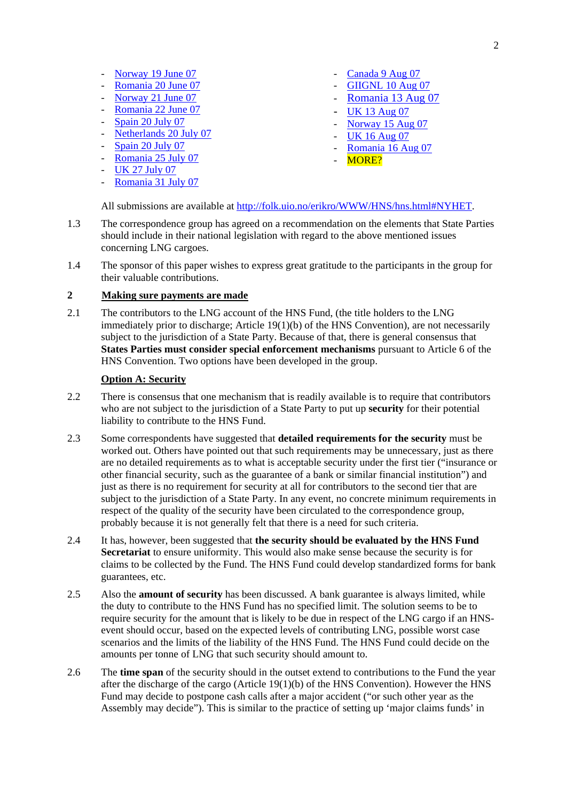- Norway 19 June 07 Canada 9 Aug 07
- 
- 
- 
- 
- Norway 21 June 07<br>
Romania 22 June 07<br>
Spain 20 July 07<br>
Spain 20 July 07<br>
Spain 20 July 07<br>
Spain 20 July 07<br>
Spain 20 July 07<br>
Spain 25 July 07<br>
CK 27 July 07<br>
CK 27 July 07<br>
CK 27 July 07
- 
- 
- 
- Romania 31 July 07
- 
- Romania 20 June 07 GIIGNL 10 Aug 07
	-
	-
	-
	-
	-
	-

All submissions are available at http://folk.uio.no/erikro/WWW/HNS/hns.html#NYHET.

- 1.3 The correspondence group has agreed on a recommendation on the elements that State Parties should include in their national legislation with regard to the above mentioned issues concerning LNG cargoes.
- 1.4 The sponsor of this paper wishes to express great gratitude to the participants in the group for their valuable contributions.

## **2 Making sure payments are made**

2.1 The contributors to the LNG account of the HNS Fund, (the title holders to the LNG immediately prior to discharge; Article 19(1)(b) of the HNS Convention), are not necessarily subject to the jurisdiction of a State Party. Because of that, there is general consensus that **States Parties must consider special enforcement mechanisms** pursuant to Article 6 of the HNS Convention. Two options have been developed in the group.

## **Option A: Security**

- 2.2 There is consensus that one mechanism that is readily available is to require that contributors who are not subject to the jurisdiction of a State Party to put up **security** for their potential liability to contribute to the HNS Fund.
- 2.3 Some correspondents have suggested that **detailed requirements for the security** must be worked out. Others have pointed out that such requirements may be unnecessary, just as there are no detailed requirements as to what is acceptable security under the first tier ("insurance or other financial security, such as the guarantee of a bank or similar financial institution") and just as there is no requirement for security at all for contributors to the second tier that are subject to the jurisdiction of a State Party. In any event, no concrete minimum requirements in respect of the quality of the security have been circulated to the correspondence group, probably because it is not generally felt that there is a need for such criteria.
- 2.4 It has, however, been suggested that **the security should be evaluated by the HNS Fund Secretariat** to ensure uniformity. This would also make sense because the security is for claims to be collected by the Fund. The HNS Fund could develop standardized forms for bank guarantees, etc.
- 2.5 Also the **amount of security** has been discussed. A bank guarantee is always limited, while the duty to contribute to the HNS Fund has no specified limit. The solution seems to be to require security for the amount that is likely to be due in respect of the LNG cargo if an HNSevent should occur, based on the expected levels of contributing LNG, possible worst case scenarios and the limits of the liability of the HNS Fund. The HNS Fund could decide on the amounts per tonne of LNG that such security should amount to.
- 2.6 The **time span** of the security should in the outset extend to contributions to the Fund the year after the discharge of the cargo (Article 19(1)(b) of the HNS Convention). However the HNS Fund may decide to postpone cash calls after a major accident ("or such other year as the Assembly may decide"). This is similar to the practice of setting up 'major claims funds' in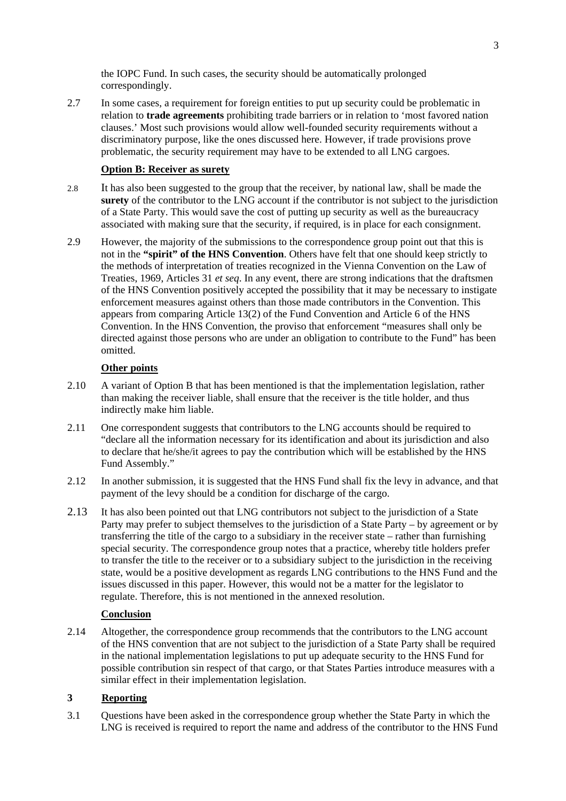the IOPC Fund. In such cases, the security should be automatically prolonged correspondingly.

2.7 In some cases, a requirement for foreign entities to put up security could be problematic in relation to **trade agreements** prohibiting trade barriers or in relation to 'most favored nation clauses.' Most such provisions would allow well-founded security requirements without a discriminatory purpose, like the ones discussed here. However, if trade provisions prove problematic, the security requirement may have to be extended to all LNG cargoes.

#### **Option B: Receiver as surety**

- 2.8 It has also been suggested to the group that the receiver, by national law, shall be made the **surety** of the contributor to the LNG account if the contributor is not subject to the jurisdiction of a State Party. This would save the cost of putting up security as well as the bureaucracy associated with making sure that the security, if required, is in place for each consignment.
- 2.9 However, the majority of the submissions to the correspondence group point out that this is not in the **"spirit" of the HNS Convention**. Others have felt that one should keep strictly to the methods of interpretation of treaties recognized in the Vienna Convention on the Law of Treaties, 1969, Articles 31 *et seq*. In any event, there are strong indications that the draftsmen of the HNS Convention positively accepted the possibility that it may be necessary to instigate enforcement measures against others than those made contributors in the Convention. This appears from comparing Article 13(2) of the Fund Convention and Article 6 of the HNS Convention. In the HNS Convention, the proviso that enforcement "measures shall only be directed against those persons who are under an obligation to contribute to the Fund" has been omitted.

#### **Other points**

- 2.10 A variant of Option B that has been mentioned is that the implementation legislation, rather than making the receiver liable, shall ensure that the receiver is the title holder, and thus indirectly make him liable.
- 2.11 One correspondent suggests that contributors to the LNG accounts should be required to "declare all the information necessary for its identification and about its jurisdiction and also to declare that he/she/it agrees to pay the contribution which will be established by the HNS Fund Assembly."
- 2.12 In another submission, it is suggested that the HNS Fund shall fix the levy in advance, and that payment of the levy should be a condition for discharge of the cargo.
- 2.13 It has also been pointed out that LNG contributors not subject to the jurisdiction of a State Party may prefer to subject themselves to the jurisdiction of a State Party – by agreement or by transferring the title of the cargo to a subsidiary in the receiver state – rather than furnishing special security. The correspondence group notes that a practice, whereby title holders prefer to transfer the title to the receiver or to a subsidiary subject to the jurisdiction in the receiving state, would be a positive development as regards LNG contributions to the HNS Fund and the issues discussed in this paper. However, this would not be a matter for the legislator to regulate. Therefore, this is not mentioned in the annexed resolution.

## **Conclusion**

2.14 Altogether, the correspondence group recommends that the contributors to the LNG account of the HNS convention that are not subject to the jurisdiction of a State Party shall be required in the national implementation legislations to put up adequate security to the HNS Fund for possible contribution sin respect of that cargo, or that States Parties introduce measures with a similar effect in their implementation legislation.

## **3 Reporting**

3.1 Questions have been asked in the correspondence group whether the State Party in which the LNG is received is required to report the name and address of the contributor to the HNS Fund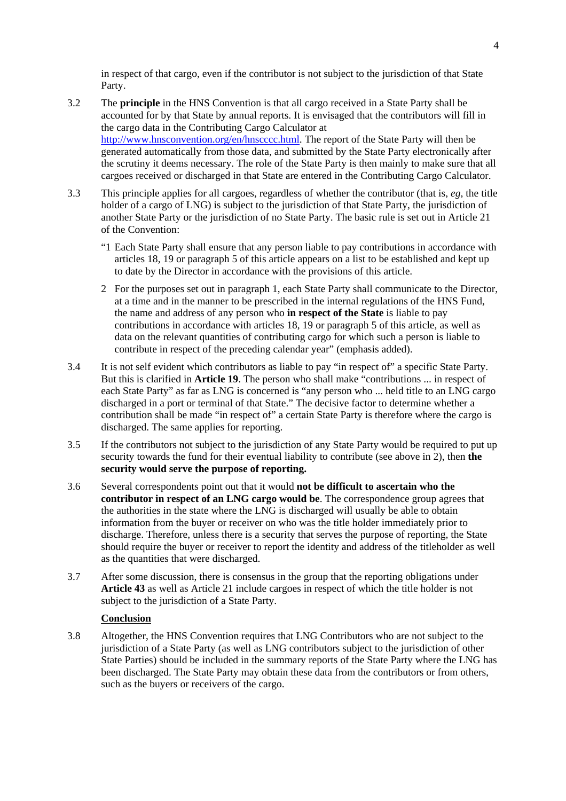in respect of that cargo, even if the contributor is not subject to the jurisdiction of that State Party.

- 3.2 The **principle** in the HNS Convention is that all cargo received in a State Party shall be accounted for by that State by annual reports. It is envisaged that the contributors will fill in the cargo data in the Contributing Cargo Calculator at http://www.hnsconvention.org/en/hnscccc.html. The report of the State Party will then be generated automatically from those data, and submitted by the State Party electronically after the scrutiny it deems necessary. The role of the State Party is then mainly to make sure that all cargoes received or discharged in that State are entered in the Contributing Cargo Calculator.
- 3.3 This principle applies for all cargoes, regardless of whether the contributor (that is, *eg*, the title holder of a cargo of LNG) is subject to the jurisdiction of that State Party, the jurisdiction of another State Party or the jurisdiction of no State Party. The basic rule is set out in Article 21 of the Convention:
	- "1 Each State Party shall ensure that any person liable to pay contributions in accordance with articles 18, 19 or paragraph 5 of this article appears on a list to be established and kept up to date by the Director in accordance with the provisions of this article.
	- 2 For the purposes set out in paragraph 1, each State Party shall communicate to the Director, at a time and in the manner to be prescribed in the internal regulations of the HNS Fund, the name and address of any person who **in respect of the State** is liable to pay contributions in accordance with articles 18, 19 or paragraph 5 of this article, as well as data on the relevant quantities of contributing cargo for which such a person is liable to contribute in respect of the preceding calendar year" (emphasis added).
- 3.4 It is not self evident which contributors as liable to pay "in respect of" a specific State Party. But this is clarified in **Article 19**. The person who shall make "contributions ... in respect of each State Party" as far as LNG is concerned is "any person who ... held title to an LNG cargo discharged in a port or terminal of that State." The decisive factor to determine whether a contribution shall be made "in respect of" a certain State Party is therefore where the cargo is discharged. The same applies for reporting.
- 3.5 If the contributors not subject to the jurisdiction of any State Party would be required to put up security towards the fund for their eventual liability to contribute (see above in 2), then **the security would serve the purpose of reporting.**
- 3.6 Several correspondents point out that it would **not be difficult to ascertain who the contributor in respect of an LNG cargo would be**. The correspondence group agrees that the authorities in the state where the LNG is discharged will usually be able to obtain information from the buyer or receiver on who was the title holder immediately prior to discharge. Therefore, unless there is a security that serves the purpose of reporting, the State should require the buyer or receiver to report the identity and address of the titleholder as well as the quantities that were discharged.
- 3.7 After some discussion, there is consensus in the group that the reporting obligations under **Article 43** as well as Article 21 include cargoes in respect of which the title holder is not subject to the jurisdiction of a State Party.

## **Conclusion**

3.8 Altogether, the HNS Convention requires that LNG Contributors who are not subject to the jurisdiction of a State Party (as well as LNG contributors subject to the jurisdiction of other State Parties) should be included in the summary reports of the State Party where the LNG has been discharged. The State Party may obtain these data from the contributors or from others, such as the buyers or receivers of the cargo.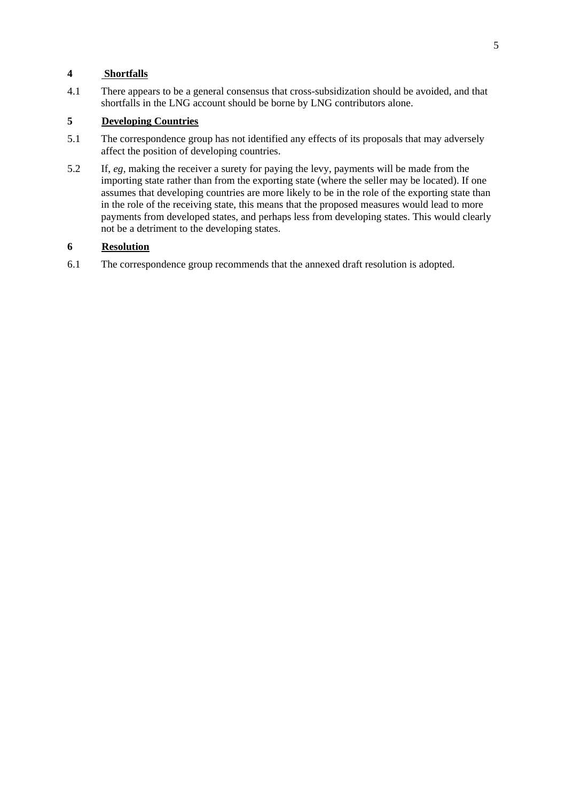## **4 Shortfalls**

4.1 There appears to be a general consensus that cross-subsidization should be avoided, and that shortfalls in the LNG account should be borne by LNG contributors alone.

## **5 Developing Countries**

- 5.1 The correspondence group has not identified any effects of its proposals that may adversely affect the position of developing countries.
- 5.2 If, *eg*, making the receiver a surety for paying the levy, payments will be made from the importing state rather than from the exporting state (where the seller may be located). If one assumes that developing countries are more likely to be in the role of the exporting state than in the role of the receiving state, this means that the proposed measures would lead to more payments from developed states, and perhaps less from developing states. This would clearly not be a detriment to the developing states.

## **6 Resolution**

6.1 The correspondence group recommends that the annexed draft resolution is adopted.